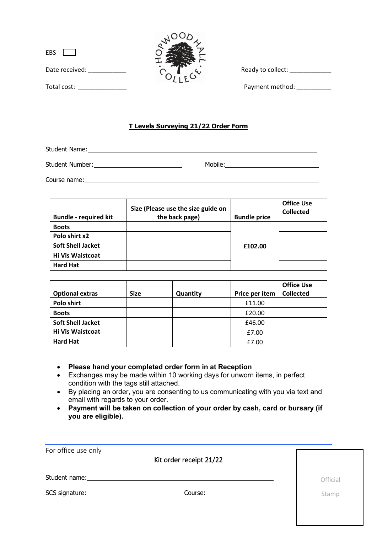| <b>EBS</b> |                |
|------------|----------------|
|            | Date received: |



Ready to collect: \_\_\_\_\_\_\_\_\_\_\_\_\_\_

Total cost: <br> Payment method:

## **T Levels Surveying 21/22 Order Form**

Student Name:

Student Number: Mobile: Mobile: Mobile: Mobile: Mobile: Mobile: Mobile: Mobile: Mobile: Mobile: Mobile: Mobile: Mobile: Mobile: Mobile: Mobile: Mobile: Mobile: Mobile: Mobile: Mobile: Mobile: Mobile: Mobile: Mobile: Mobile

Course name: <u>example and the contract of the contract of the contract of the contract of the contract of the contract of the contract of the contract of the contract of the contract of the contract of the contract of the </u>

| <b>Bundle - required kit</b> | Size (Please use the size guide on<br>the back page) | <b>Bundle price</b> | <b>Office Use</b><br><b>Collected</b> |
|------------------------------|------------------------------------------------------|---------------------|---------------------------------------|
| <b>Boots</b>                 |                                                      |                     |                                       |
| Polo shirt x2                |                                                      |                     |                                       |
| <b>Soft Shell Jacket</b>     |                                                      | £102.00             |                                       |
| <b>Hi Vis Waistcoat</b>      |                                                      |                     |                                       |
| <b>Hard Hat</b>              |                                                      |                     |                                       |

|                          |             |          |                | <b>Office Use</b> |
|--------------------------|-------------|----------|----------------|-------------------|
| <b>Optional extras</b>   | <b>Size</b> | Quantity | Price per item | <b>Collected</b>  |
| Polo shirt               |             |          | £11.00         |                   |
| <b>Boots</b>             |             |          | £20.00         |                   |
| <b>Soft Shell Jacket</b> |             |          | £46.00         |                   |
| <b>Hi Vis Waistcoat</b>  |             |          | £7.00          |                   |
| <b>Hard Hat</b>          |             |          | £7.00          |                   |

• **Please hand your completed order form in at Reception** 

- Exchanges may be made within 10 working days for unworn items, in perfect condition with the tags still attached.
- By placing an order, you are consenting to us communicating with you via text and email with regards to your order.
- **Payment will be taken on collection of your order by cash, card or bursary (if you are eligible).**

| For office use only | Kit order receipt 21/22    |          |
|---------------------|----------------------------|----------|
| Student name:       |                            | Official |
|                     | Course: __________________ | Stamp    |
|                     |                            |          |